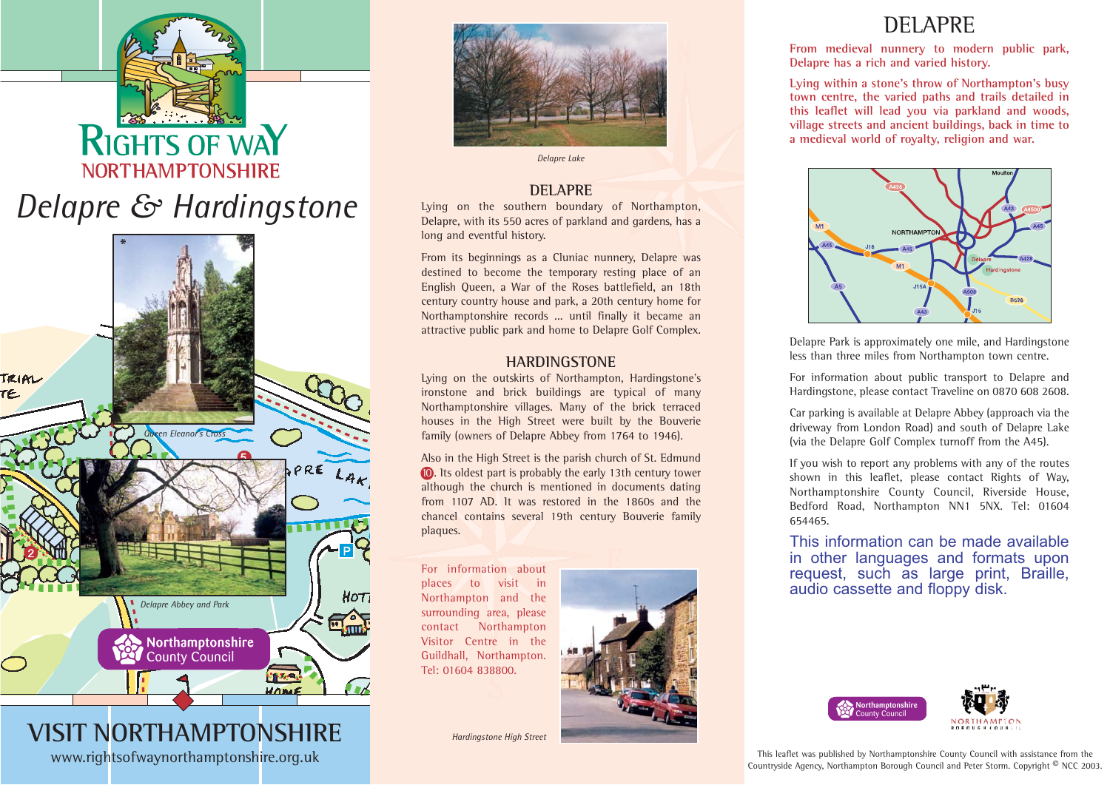# **RIGHTS OF WA NORTHAMPTONSHIRE** *Delapre & Hardingstone*



**VISIT NORTHAMPTONSHIRE**www.rightsofwaynorthamptonshire.org.uk



*Delapre Lake*

## **DELAPRE**

Lying on the southern boundary of Northampton, Delapre, with its 550 acres of parkland and gardens, has <sup>a</sup> long and eventful history.

From its beginnings as <sup>a</sup> Cluniac nunnery, Delapre was destined to become the temporary resting place of an English Queen, <sup>a</sup> War of the Roses battlefield, an 18th century country house and park, <sup>a</sup> 20th century home for Northamptonshire records ... until finally it became an attractive public park and home to Delapre Golf Complex.

## **HARDINGSTONE**

Lying on the outskirts of Northampton, Hardingstone's ironstone and brick buildings are typical of many Northamptonshire villages. Many of the brick terraced houses in the High Street were built by the Bouverie family (owners of Delapre Abbey from <sup>1764</sup> to 1946).

Also in the High Street is the parish church of St. Edmund 10. Its oldest part is probably the early 13th century tower although the church is mentioned in documents dating from 1107 AD. It was restored in the 1860s and the chancel contains several 19th century Bouverie family plaques.

For information about places to visit in Northampton and the surrounding area, please contact Northampton Visitor Centre in the Guildhall, Northampton. Tel: 01604 838800.



*Hardingstone High Street*

# DELAPRE

**From medieval nunnery to modern public park, Delapre has <sup>a</sup> rich and varied history.**

**Lying within <sup>a</sup> stone's throw of Northampton's busy town centre, the varied paths and trails detailed in this leaflet will lead you via parkland and woods, village streets and ancient buildings, back in time to <sup>a</sup> medieval world of royalty, religion and war.**



Delapre Park is approximately one mile, and Hardingstone less than three miles from Northampton town centre.

For information about public transport to Delapre and Hardingstone, please contact Traveline on 0870 608 2608.

Car parking is available at Delapre Abbey (approach via the driveway from London Road) and south of Delapre Lake (via the Delapre Golf Complex turnoff from the A45).

If you wish to report any problems with any of the routes shown in this leaflet, please contact Rights of Way, Northamptonshire County Council, Riverside House, Bedford Road, Northampton NN1 5NX. Tel: 01604 654465.

This information can be made availablein other languages and formats upon request, such as large print, Braille, audio cassette and floppy disk.



This leaflet was published by Northamptonshire County Council with assistance from the Countryside Agency, Northampton Borough Council and Peter Storm. Copyright © NCC 2003.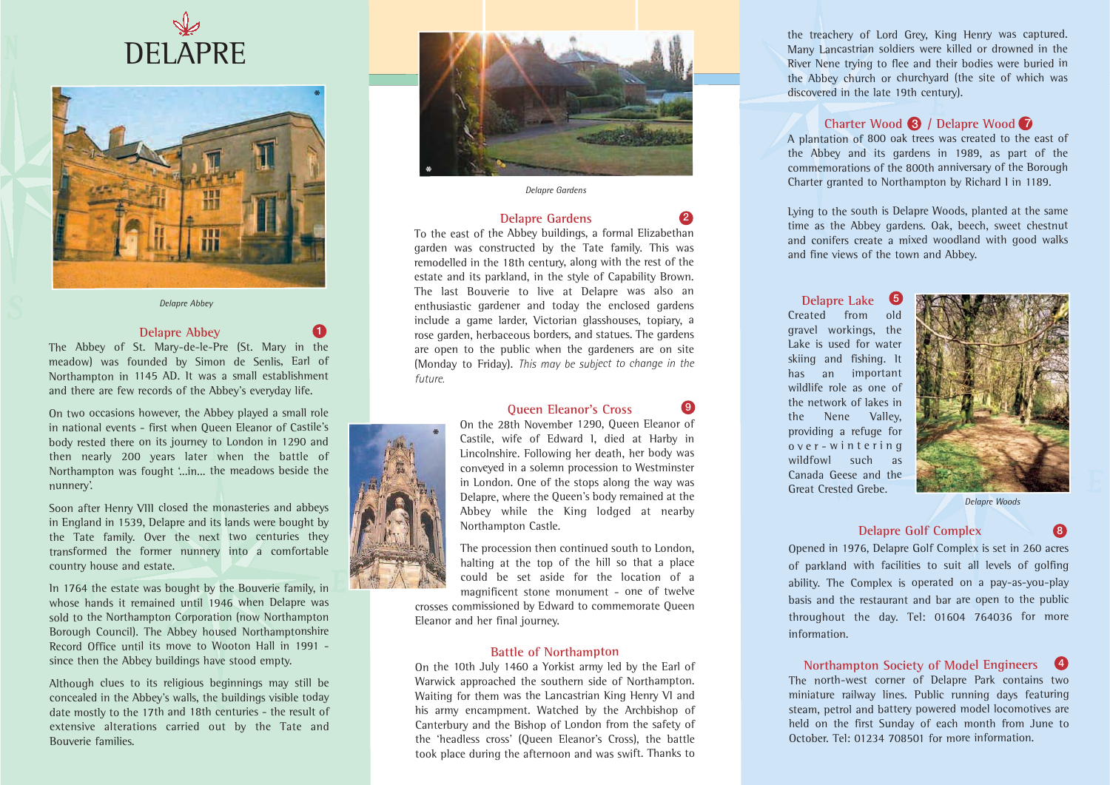



*Delapre Abbey*

#### **Delapre Abbey**

The Abbey of St. Mary-de-le-Pre (St. Mary in the meadow) was founded by Simon de Senlis, Earl of Northampton in <sup>1145</sup> AD. It was <sup>a</sup> small establishment and there are few records of the Abbey's everyday life.

On two occasions however, the Abbey played <sup>a</sup> small role in national events - first when Queen Eleanor of Castile's body rested there on its journey to London in <sup>1290</sup> and then nearly <sup>200</sup> years later when the battle of Northampton was fought '...in... the meadows beside the nunnery'.

Soon after Henry VIII closed the monasteries and abbeys in England in 1539, Delapre and its lands were bought by the Tate family. Over the next two centuries they transformed the former nunnery into <sup>a</sup> comfortable country house and estate.

In <sup>1764</sup> the estate was bought by the Bouverie family, in whose hands it remained until 1946 when Delapre was sold to the Northampton Corporation (now Northampton Borough Council). The Abbey housed Northamptonshire Record Office until its move to Wooton Hall in 1991 since then the Abbey buildings have stood empty.

Although clues to its religious beginnings may still be concealed in the Abbey's walls, the buildings visible today date mostly to the 17th and 18th centuries - the result of extensive alterations carried out by the Tate and Bouverie families.



*Delapre Gardens*

#### **Delapre Gardens**

**2**

**9**

To the east of the Abbey buildings, <sup>a</sup> formal Elizabethan garden was constructed by the Tate family. This was remodelled in the 18th century, along with the rest of the estate and its parkland, in the style of Capability Brown. The last Bouverie to live at Delapre was also an enthusiastic gardener and today the enclosed gardens include <sup>a</sup> game larder, Victorian glasshouses, topiary, <sup>a</sup> rose garden, herbaceous borders, and statues. The gardens are open to the public when the gardeners are on site (Monday to Friday). *This may be subject to change in the future.*

#### **Queen Eleanor's Cross**

On the 28th November 1290, Queen Eleanor of Castile, wife of Edward I, died at Harby in Lincolnshire. Following her death, her body was conveyed in <sup>a</sup> solemn procession to Westminster in London. One of the stops along the way was Delapre, where the Queen's body remained at the Abbey while the King lodged at nearby Northampton Castle.

The procession then continued south to London, halting at the top of the hill so that <sup>a</sup> place could be set aside for the location of <sup>a</sup> magnificent stone monument - one of twelve

crosses commissioned by Edward to commemorate Queen Eleanor and her final journey.

#### **Battle of Northampton**

On the 10th July <sup>1460</sup> <sup>a</sup> Yorkist army led by the Earl of Warwick approached the southern side of Northampton. Waiting for them was the Lancastrian King Henry VI and his army encampment. Watched by the Archbishop of Canterbury and the Bishop of London from the safety of the 'headless cross' (Queen Eleanor's Cross), the battle took place during the afternoon and was swift. Thanks to

the treachery of Lord Grey, King Henry was captured. Many Lancastrian soldiers were killed or drowned in the River Nene trying to flee and their bodies were buried in the Abbey church or churchyard (the site of which was discovered in the late 19th century).

#### **Charter Wood <sup>3</sup> / Delapre Wood <sup>7</sup>**

A plantation of <sup>800</sup> oak trees was created to the east of the Abbey and its gardens in 1989, as part of the commemorations of the 800th anniversary of the Borough Charter granted to Northampton by Richard I in 1189.

Lying to the south is Delapre Woods, planted at the same time as the Abbey gardens. Oak, beech, sweet chestnut and conifers create <sup>a</sup> mixed woodland with good walks and fine views of the town and Abbey.

**Delapre Lake** Created from oldgravel workings, the Lake is used for water skiing and fishing. It has an important wildlife role as one of the network of lakes inthe Nene Valley, providing <sup>a</sup> refuge for over-wint ering wildfowl such as Canada Geese and the Great Crested Grebe.**5**



*Delapre Woods*

**8**

#### **Delapre Golf Complex**

Opened in 1976, Delapre Golf Complex is set in <sup>260</sup> acres of parkland with facilities to suit all levels of golfing ability. The Complex is operated on <sup>a</sup> pay-as-you-play basis and the restaurant and bar are open to the public throughout the day. Tel: <sup>01604</sup> <sup>764036</sup> for more information.

**Northampton Society of Model Engineers 4** The north-west corner of Delapre Park contains two miniature railway lines. Public running days featuring steam, petrol and battery powered model locomotives are held on the first Sunday of each month from June to October. Tel: 01234 708501 for more information.



**\***

**1**